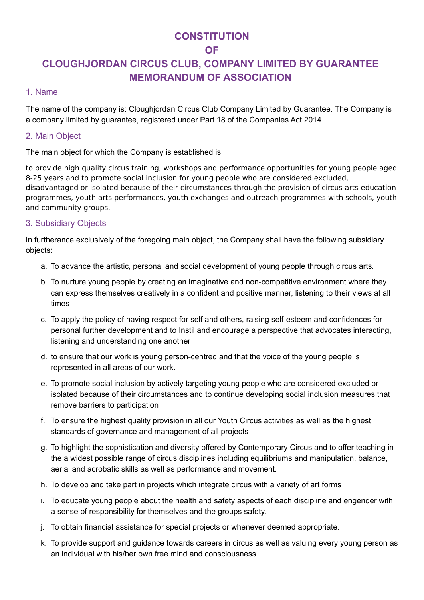# **CONSTITUTION**

# **OF**

# **CLOUGHJORDAN CIRCUS CLUB, COMPANY LIMITED BY GUARANTEE MEMORANDUM OF ASSOCIATION**

#### 1. Name

The name of the company is: Cloughjordan Circus Club Company Limited by Guarantee. The Company is a company limited by guarantee, registered under Part 18 of the Companies Act 2014.

## 2. Main Object

The main object for which the Company is established is:

to provide high quality circus training, workshops and performance opportunities for young people aged 8-25 years and to promote social inclusion for young people who are considered excluded, disadvantaged or isolated because of their circumstances through the provision of circus arts education programmes, youth arts performances, youth exchanges and outreach programmes with schools, youth and community groups.

## 3. Subsidiary Objects

In furtherance exclusively of the foregoing main object, the Company shall have the following subsidiary objects:

- a. To advance the artistic, personal and social development of young people through circus arts.
- b. To nurture young people by creating an imaginative and non-competitive environment where they can express themselves creatively in a confident and positive manner, listening to their views at all times
- c. To apply the policy of having respect for self and others, raising self-esteem and confidences for personal further development and to Instil and encourage a perspective that advocates interacting, listening and understanding one another
- d. to ensure that our work is young person-centred and that the voice of the young people is represented in all areas of our work.
- e. To promote social inclusion by actively targeting young people who are considered excluded or isolated because of their circumstances and to continue developing social inclusion measures that remove barriers to participation
- f. To ensure the highest quality provision in all our Youth Circus activities as well as the highest standards of governance and management of all projects
- g. To highlight the sophistication and diversity offered by Contemporary Circus and to offer teaching in the a widest possible range of circus disciplines including equilibriums and manipulation, balance, aerial and acrobatic skills as well as performance and movement.
- h. To develop and take part in projects which integrate circus with a variety of art forms
- i. To educate young people about the health and safety aspects of each discipline and engender with a sense of responsibility for themselves and the groups safety.
- j. To obtain financial assistance for special projects or whenever deemed appropriate.
- k. To provide support and guidance towards careers in circus as well as valuing every young person as an individual with his/her own free mind and consciousness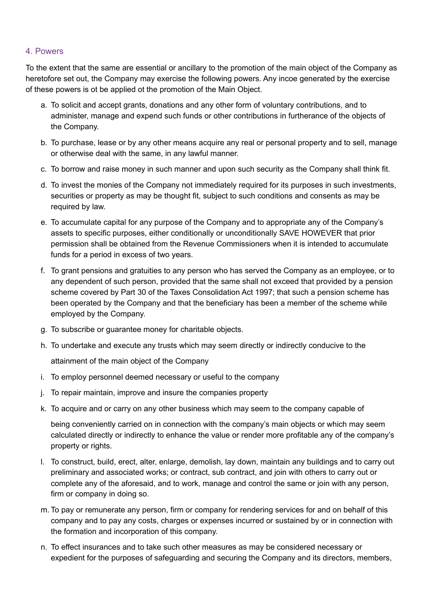## 4. Powers

To the extent that the same are essential or ancillary to the promotion of the main object of the Company as heretofore set out, the Company may exercise the following powers. Any incoe generated by the exercise of these powers is ot be applied ot the promotion of the Main Object.

- a. To solicit and accept grants, donations and any other form of voluntary contributions, and to administer, manage and expend such funds or other contributions in furtherance of the objects of the Company.
- b. To purchase, lease or by any other means acquire any real or personal property and to sell, manage or otherwise deal with the same, in any lawful manner.
- c. To borrow and raise money in such manner and upon such security as the Company shall think fit.
- d. To invest the monies of the Company not immediately required for its purposes in such investments, securities or property as may be thought fit, subject to such conditions and consents as may be required by law.
- e. To accumulate capital for any purpose of the Company and to appropriate any of the Company's assets to specific purposes, either conditionally or unconditionally SAVE HOWEVER that prior permission shall be obtained from the Revenue Commissioners when it is intended to accumulate funds for a period in excess of two years.
- f. To grant pensions and gratuities to any person who has served the Company as an employee, or to any dependent of such person, provided that the same shall not exceed that provided by a pension scheme covered by Part 30 of the Taxes Consolidation Act 1997; that such a pension scheme has been operated by the Company and that the beneficiary has been a member of the scheme while employed by the Company.
- g. To subscribe or guarantee money for charitable objects.
- h. To undertake and execute any trusts which may seem directly or indirectly conducive to the

attainment of the main object of the Company

- i. To employ personnel deemed necessary or useful to the company
- j. To repair maintain, improve and insure the companies property
- k. To acquire and or carry on any other business which may seem to the company capable of

being conveniently carried on in connection with the company's main objects or which may seem calculated directly or indirectly to enhance the value or render more profitable any of the company's property or rights.

- l. To construct, build, erect, alter, enlarge, demolish, lay down, maintain any buildings and to carry out preliminary and associated works; or contract, sub contract, and join with others to carry out or complete any of the aforesaid, and to work, manage and control the same or join with any person, firm or company in doing so.
- m. To pay or remunerate any person, firm or company for rendering services for and on behalf of this company and to pay any costs, charges or expenses incurred or sustained by or in connection with the formation and incorporation of this company.
- n. To effect insurances and to take such other measures as may be considered necessary or expedient for the purposes of safeguarding and securing the Company and its directors, members,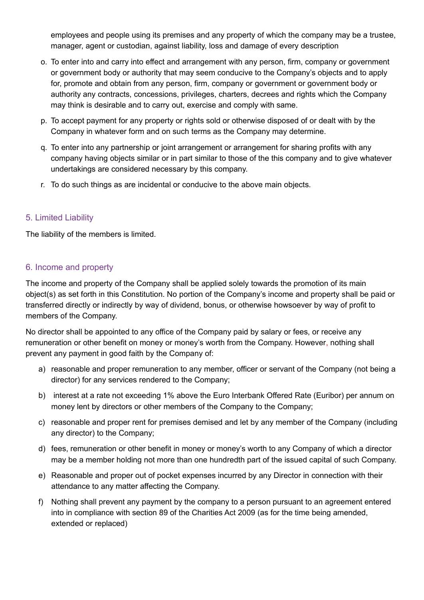employees and people using its premises and any property of which the company may be a trustee, manager, agent or custodian, against liability, loss and damage of every description

- o. To enter into and carry into effect and arrangement with any person, firm, company or government or government body or authority that may seem conducive to the Company's objects and to apply for, promote and obtain from any person, firm, company or government or government body or authority any contracts, concessions, privileges, charters, decrees and rights which the Company may think is desirable and to carry out, exercise and comply with same.
- p. To accept payment for any property or rights sold or otherwise disposed of or dealt with by the Company in whatever form and on such terms as the Company may determine.
- q. To enter into any partnership or joint arrangement or arrangement for sharing profits with any company having objects similar or in part similar to those of the this company and to give whatever undertakings are considered necessary by this company.
- r. To do such things as are incidental or conducive to the above main objects.

# 5. Limited Liability

The liability of the members is limited.

# 6. Income and property

The income and property of the Company shall be applied solely towards the promotion of its main object(s) as set forth in this Constitution. No portion of the Company's income and property shall be paid or transferred directly or indirectly by way of dividend, bonus, or otherwise howsoever by way of profit to members of the Company.

No director shall be appointed to any office of the Company paid by salary or fees, or receive any remuneration or other benefit on money or money's worth from the Company. However, nothing shall prevent any payment in good faith by the Company of:

- a) reasonable and proper remuneration to any member, officer or servant of the Company (not being a director) for any services rendered to the Company;
- b) interest at a rate not exceeding 1% above the Euro Interbank Offered Rate (Euribor) per annum on money lent by directors or other members of the Company to the Company;
- c) reasonable and proper rent for premises demised and let by any member of the Company (including any director) to the Company;
- d) fees, remuneration or other benefit in money or money's worth to any Company of which a director may be a member holding not more than one hundredth part of the issued capital of such Company.
- e) Reasonable and proper out of pocket expenses incurred by any Director in connection with their attendance to any matter affecting the Company.
- f) Nothing shall prevent any payment by the company to a person pursuant to an agreement entered into in compliance with section 89 of the Charities Act 2009 (as for the time being amended, extended or replaced)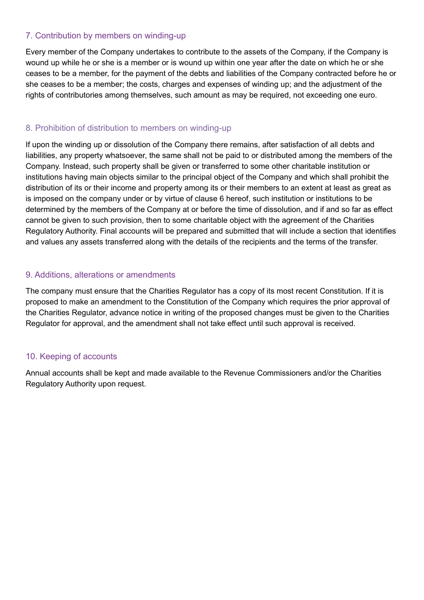## 7. Contribution by members on winding-up

Every member of the Company undertakes to contribute to the assets of the Company, if the Company is wound up while he or she is a member or is wound up within one year after the date on which he or she ceases to be a member, for the payment of the debts and liabilities of the Company contracted before he or she ceases to be a member; the costs, charges and expenses of winding up; and the adjustment of the rights of contributories among themselves, such amount as may be required, not exceeding one euro.

## 8. Prohibition of distribution to members on winding-up

If upon the winding up or dissolution of the Company there remains, after satisfaction of all debts and liabilities, any property whatsoever, the same shall not be paid to or distributed among the members of the Company. Instead, such property shall be given or transferred to some other charitable institution or institutions having main objects similar to the principal object of the Company and which shall prohibit the distribution of its or their income and property among its or their members to an extent at least as great as is imposed on the company under or by virtue of clause 6 hereof, such institution or institutions to be determined by the members of the Company at or before the time of dissolution, and if and so far as effect cannot be given to such provision, then to some charitable object with the agreement of the Charities Regulatory Authority. Final accounts will be prepared and submitted that will include a section that identifies and values any assets transferred along with the details of the recipients and the terms of the transfer.

## 9. Additions, alterations or amendments

The company must ensure that the Charities Regulator has a copy of its most recent Constitution. If it is proposed to make an amendment to the Constitution of the Company which requires the prior approval of the Charities Regulator, advance notice in writing of the proposed changes must be given to the Charities Regulator for approval, and the amendment shall not take effect until such approval is received.

#### 10. Keeping of accounts

Annual accounts shall be kept and made available to the Revenue Commissioners and/or the Charities Regulatory Authority upon request.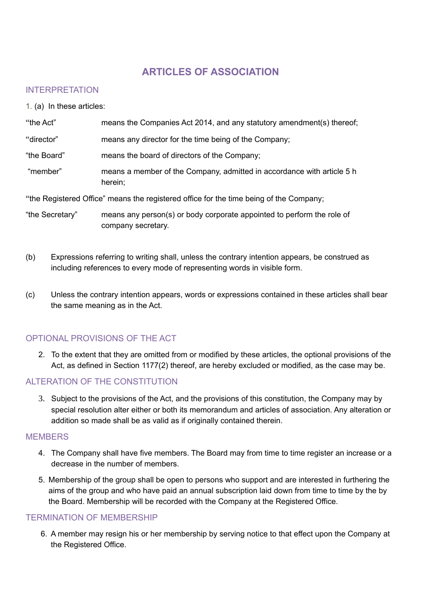# **ARTICLES OF ASSOCIATION**

## INTERPRETATION

1. (a) In these articles:

| "the Act"   | means the Companies Act 2014, and any statutory amendment(s) thereof;             |
|-------------|-----------------------------------------------------------------------------------|
| "director"  | means any director for the time being of the Company;                             |
| "the Board" | means the board of directors of the Company;                                      |
| "member"    | means a member of the Company, admitted in accordance with article 5 h<br>herein; |

"the Registered Office" means the registered office for the time being of the Company;

"the Secretary" means any person(s) or body corporate appointed to perform the role of company secretary.

- (b) Expressions referring to writing shall, unless the contrary intention appears, be construed as including references to every mode of representing words in visible form.
- (c) Unless the contrary intention appears, words or expressions contained in these articles shall bear the same meaning as in the Act.

# OPTIONAL PROVISIONS OF THE ACT

2. To the extent that they are omitted from or modified by these articles, the optional provisions of the Act, as defined in Section 1177(2) thereof, are hereby excluded or modified, as the case may be.

# ALTERATION OF THE CONSTITUTION

3. Subject to the provisions of the Act, and the provisions of this constitution, the Company may by special resolution alter either or both its memorandum and articles of association. Any alteration or addition so made shall be as valid as if originally contained therein.

#### **MEMBERS**

- 4. The Company shall have five members. The Board may from time to time register an increase or a decrease in the number of members.
- 5. Membership of the group shall be open to persons who support and are interested in furthering the aims of the group and who have paid an annual subscription laid down from time to time by the by the Board. Membership will be recorded with the Company at the Registered Office.

#### TERMINATION OF MEMBERSHIP

6. A member may resign his or her membership by serving notice to that effect upon the Company at the Registered Office.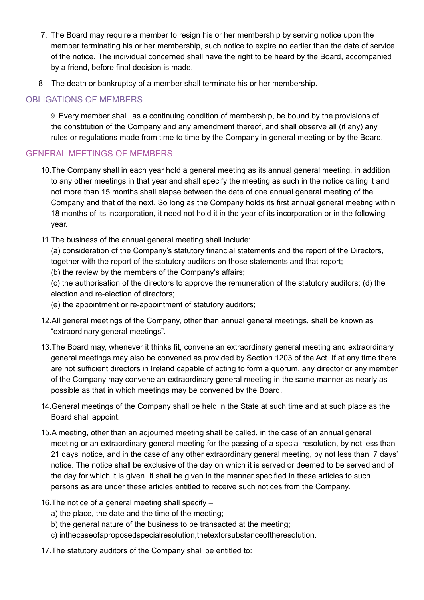- 7. The Board may require a member to resign his or her membership by serving notice upon the member terminating his or her membership, such notice to expire no earlier than the date of service of the notice. The individual concerned shall have the right to be heard by the Board, accompanied by a friend, before final decision is made.
- 8. The death or bankruptcy of a member shall terminate his or her membership.

# OBLIGATIONS OF MEMBERS

9. Every member shall, as a continuing condition of membership, be bound by the provisions of the constitution of the Company and any amendment thereof, and shall observe all (if any) any rules or regulations made from time to time by the Company in general meeting or by the Board.

# GENERAL MEETINGS OF MEMBERS

- 10.The Company shall in each year hold a general meeting as its annual general meeting, in addition to any other meetings in that year and shall specify the meeting as such in the notice calling it and not more than 15 months shall elapse between the date of one annual general meeting of the Company and that of the next. So long as the Company holds its first annual general meeting within 18 months of its incorporation, it need not hold it in the year of its incorporation or in the following year.
- 11.The business of the annual general meeting shall include:

(a) consideration of the Company's statutory financial statements and the report of the Directors, together with the report of the statutory auditors on those statements and that report; (b) the review by the members of the Company's affairs;

- (c) the authorisation of the directors to approve the remuneration of the statutory auditors; (d) the election and re-election of directors;
- (e) the appointment or re-appointment of statutory auditors;
- 12.All general meetings of the Company, other than annual general meetings, shall be known as "extraordinary general meetings".
- 13.The Board may, whenever it thinks fit, convene an extraordinary general meeting and extraordinary general meetings may also be convened as provided by Section 1203 of the Act. If at any time there are not sufficient directors in Ireland capable of acting to form a quorum, any director or any member of the Company may convene an extraordinary general meeting in the same manner as nearly as possible as that in which meetings may be convened by the Board.
- 14.General meetings of the Company shall be held in the State at such time and at such place as the Board shall appoint.
- 15.A meeting, other than an adjourned meeting shall be called, in the case of an annual general meeting or an extraordinary general meeting for the passing of a special resolution, by not less than 21 days' notice, and in the case of any other extraordinary general meeting, by not less than 7 days' notice. The notice shall be exclusive of the day on which it is served or deemed to be served and of the day for which it is given. It shall be given in the manner specified in these articles to such persons as are under these articles entitled to receive such notices from the Company.
- 16.The notice of a general meeting shall specify
	- a) the place, the date and the time of the meeting;
	- b) the general nature of the business to be transacted at the meeting;
	- c) inthecaseofaproposedspecialresolution,thetextorsubstanceoftheresolution.
- 17.The statutory auditors of the Company shall be entitled to: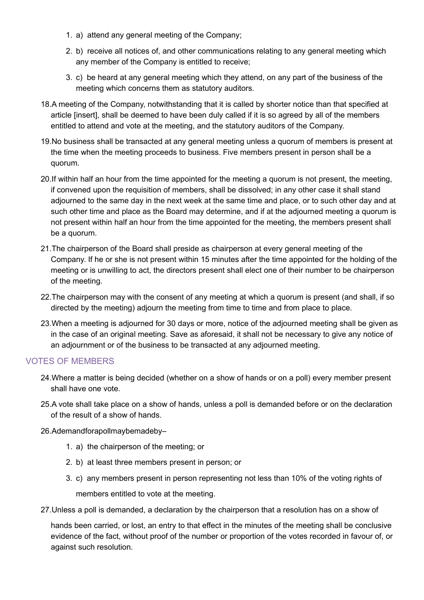- 1. a) attend any general meeting of the Company;
- 2. b) receive all notices of, and other communications relating to any general meeting which any member of the Company is entitled to receive;
- 3. c) be heard at any general meeting which they attend, on any part of the business of the meeting which concerns them as statutory auditors.
- 18.A meeting of the Company, notwithstanding that it is called by shorter notice than that specified at article [insert], shall be deemed to have been duly called if it is so agreed by all of the members entitled to attend and vote at the meeting, and the statutory auditors of the Company.
- 19.No business shall be transacted at any general meeting unless a quorum of members is present at the time when the meeting proceeds to business. Five members present in person shall be a quorum.
- 20.If within half an hour from the time appointed for the meeting a quorum is not present, the meeting, if convened upon the requisition of members, shall be dissolved; in any other case it shall stand adjourned to the same day in the next week at the same time and place, or to such other day and at such other time and place as the Board may determine, and if at the adjourned meeting a quorum is not present within half an hour from the time appointed for the meeting, the members present shall be a quorum.
- 21.The chairperson of the Board shall preside as chairperson at every general meeting of the Company. If he or she is not present within 15 minutes after the time appointed for the holding of the meeting or is unwilling to act, the directors present shall elect one of their number to be chairperson of the meeting.
- 22.The chairperson may with the consent of any meeting at which a quorum is present (and shall, if so directed by the meeting) adjourn the meeting from time to time and from place to place.
- 23.When a meeting is adjourned for 30 days or more, notice of the adjourned meeting shall be given as in the case of an original meeting. Save as aforesaid, it shall not be necessary to give any notice of an adjournment or of the business to be transacted at any adjourned meeting.

#### VOTES OF MEMBERS

- 24.Where a matter is being decided (whether on a show of hands or on a poll) every member present shall have one vote.
- 25.A vote shall take place on a show of hands, unless a poll is demanded before or on the declaration of the result of a show of hands.
- 26.Ademandforapollmaybemadeby–
	- 1. a) the chairperson of the meeting; or
	- 2. b) at least three members present in person; or
	- 3. c) any members present in person representing not less than 10% of the voting rights of members entitled to vote at the meeting.
- 27.Unless a poll is demanded, a declaration by the chairperson that a resolution has on a show of

hands been carried, or lost, an entry to that effect in the minutes of the meeting shall be conclusive evidence of the fact, without proof of the number or proportion of the votes recorded in favour of, or against such resolution.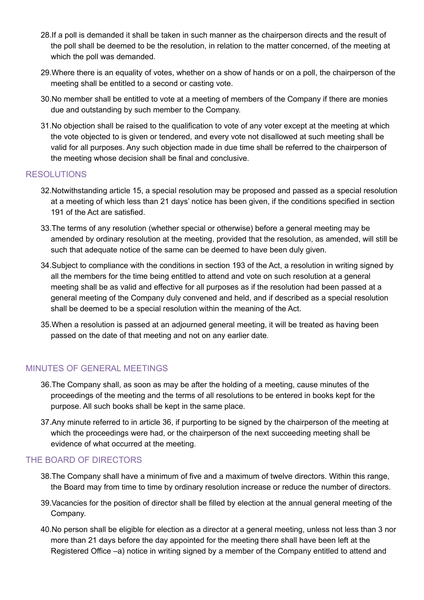- 28.If a poll is demanded it shall be taken in such manner as the chairperson directs and the result of the poll shall be deemed to be the resolution, in relation to the matter concerned, of the meeting at which the poll was demanded.
- 29.Where there is an equality of votes, whether on a show of hands or on a poll, the chairperson of the meeting shall be entitled to a second or casting vote.
- 30.No member shall be entitled to vote at a meeting of members of the Company if there are monies due and outstanding by such member to the Company.
- 31.No objection shall be raised to the qualification to vote of any voter except at the meeting at which the vote objected to is given or tendered, and every vote not disallowed at such meeting shall be valid for all purposes. Any such objection made in due time shall be referred to the chairperson of the meeting whose decision shall be final and conclusive.

#### RESOLUTIONS

- 32.Notwithstanding article 15, a special resolution may be proposed and passed as a special resolution at a meeting of which less than 21 days' notice has been given, if the conditions specified in section 191 of the Act are satisfied.
- 33.The terms of any resolution (whether special or otherwise) before a general meeting may be amended by ordinary resolution at the meeting, provided that the resolution, as amended, will still be such that adequate notice of the same can be deemed to have been duly given.
- 34.Subject to compliance with the conditions in section 193 of the Act, a resolution in writing signed by all the members for the time being entitled to attend and vote on such resolution at a general meeting shall be as valid and effective for all purposes as if the resolution had been passed at a general meeting of the Company duly convened and held, and if described as a special resolution shall be deemed to be a special resolution within the meaning of the Act.
- 35.When a resolution is passed at an adjourned general meeting, it will be treated as having been passed on the date of that meeting and not on any earlier date.

#### MINUTES OF GENERAL MEETINGS

- 36.The Company shall, as soon as may be after the holding of a meeting, cause minutes of the proceedings of the meeting and the terms of all resolutions to be entered in books kept for the purpose. All such books shall be kept in the same place.
- 37.Any minute referred to in article 36, if purporting to be signed by the chairperson of the meeting at which the proceedings were had, or the chairperson of the next succeeding meeting shall be evidence of what occurred at the meeting.

#### THE BOARD OF DIRECTORS

- 38.The Company shall have a minimum of five and a maximum of twelve directors. Within this range, the Board may from time to time by ordinary resolution increase or reduce the number of directors.
- 39.Vacancies for the position of director shall be filled by election at the annual general meeting of the Company.
- 40.No person shall be eligible for election as a director at a general meeting, unless not less than 3 nor more than 21 days before the day appointed for the meeting there shall have been left at the Registered Office –a) notice in writing signed by a member of the Company entitled to attend and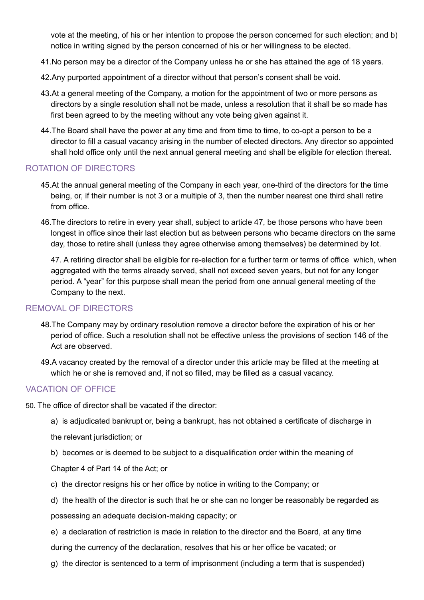vote at the meeting, of his or her intention to propose the person concerned for such election; and b) notice in writing signed by the person concerned of his or her willingness to be elected.

- 41.No person may be a director of the Company unless he or she has attained the age of 18 years.
- 42.Any purported appointment of a director without that person's consent shall be void.
- 43.At a general meeting of the Company, a motion for the appointment of two or more persons as directors by a single resolution shall not be made, unless a resolution that it shall be so made has first been agreed to by the meeting without any vote being given against it.
- 44.The Board shall have the power at any time and from time to time, to co-opt a person to be a director to fill a casual vacancy arising in the number of elected directors. Any director so appointed shall hold office only until the next annual general meeting and shall be eligible for election thereat.

#### ROTATION OF DIRECTORS

- 45.At the annual general meeting of the Company in each year, one-third of the directors for the time being, or, if their number is not 3 or a multiple of 3, then the number nearest one third shall retire from office.
- 46.The directors to retire in every year shall, subject to article 47, be those persons who have been longest in office since their last election but as between persons who became directors on the same day, those to retire shall (unless they agree otherwise among themselves) be determined by lot.

47. A retiring director shall be eligible for re-election for a further term or terms of office which, when aggregated with the terms already served, shall not exceed seven years, but not for any longer period. A "year" for this purpose shall mean the period from one annual general meeting of the Company to the next.

#### REMOVAL OF DIRECTORS

- 48.The Company may by ordinary resolution remove a director before the expiration of his or her period of office. Such a resolution shall not be effective unless the provisions of section 146 of the Act are observed.
- 49.A vacancy created by the removal of a director under this article may be filled at the meeting at which he or she is removed and, if not so filled, may be filled as a casual vacancy.

#### VACATION OF OFFICE

- 50. The office of director shall be vacated if the director:
	- a) is adjudicated bankrupt or, being a bankrupt, has not obtained a certificate of discharge in

the relevant jurisdiction; or

b) becomes or is deemed to be subject to a disqualification order within the meaning of

Chapter 4 of Part 14 of the Act; or

- c) the director resigns his or her office by notice in writing to the Company; or
- d) the health of the director is such that he or she can no longer be reasonably be regarded as

possessing an adequate decision-making capacity; or

- e) a declaration of restriction is made in relation to the director and the Board, at any time during the currency of the declaration, resolves that his or her office be vacated; or
- g) the director is sentenced to a term of imprisonment (including a term that is suspended)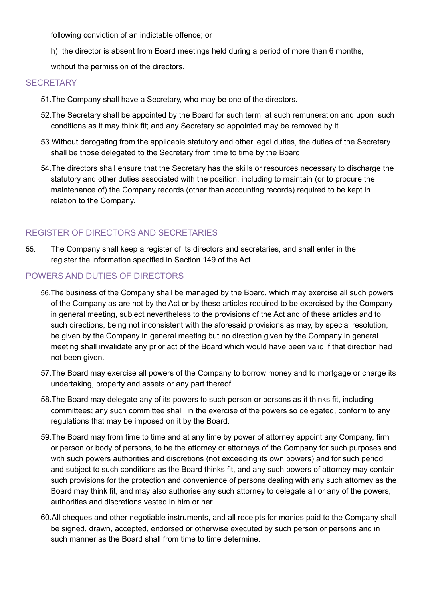following conviction of an indictable offence; or

- h) the director is absent from Board meetings held during a period of more than 6 months,
- without the permission of the directors.

## **SECRETARY**

- 51.The Company shall have a Secretary, who may be one of the directors.
- 52.The Secretary shall be appointed by the Board for such term, at such remuneration and upon such conditions as it may think fit; and any Secretary so appointed may be removed by it.
- 53.Without derogating from the applicable statutory and other legal duties, the duties of the Secretary shall be those delegated to the Secretary from time to time by the Board.
- 54.The directors shall ensure that the Secretary has the skills or resources necessary to discharge the statutory and other duties associated with the position, including to maintain (or to procure the maintenance of) the Company records (other than accounting records) required to be kept in relation to the Company.

# REGISTER OF DIRECTORS AND SECRETARIES

55. The Company shall keep a register of its directors and secretaries, and shall enter in the register the information specified in Section 149 of the Act.

## POWERS AND DUTIES OF DIRECTORS

- 56.The business of the Company shall be managed by the Board, which may exercise all such powers of the Company as are not by the Act or by these articles required to be exercised by the Company in general meeting, subject nevertheless to the provisions of the Act and of these articles and to such directions, being not inconsistent with the aforesaid provisions as may, by special resolution, be given by the Company in general meeting but no direction given by the Company in general meeting shall invalidate any prior act of the Board which would have been valid if that direction had not been given.
- 57.The Board may exercise all powers of the Company to borrow money and to mortgage or charge its undertaking, property and assets or any part thereof.
- 58.The Board may delegate any of its powers to such person or persons as it thinks fit, including committees; any such committee shall, in the exercise of the powers so delegated, conform to any regulations that may be imposed on it by the Board.
- 59.The Board may from time to time and at any time by power of attorney appoint any Company, firm or person or body of persons, to be the attorney or attorneys of the Company for such purposes and with such powers authorities and discretions (not exceeding its own powers) and for such period and subject to such conditions as the Board thinks fit, and any such powers of attorney may contain such provisions for the protection and convenience of persons dealing with any such attorney as the Board may think fit, and may also authorise any such attorney to delegate all or any of the powers, authorities and discretions vested in him or her.
- 60.All cheques and other negotiable instruments, and all receipts for monies paid to the Company shall be signed, drawn, accepted, endorsed or otherwise executed by such person or persons and in such manner as the Board shall from time to time determine.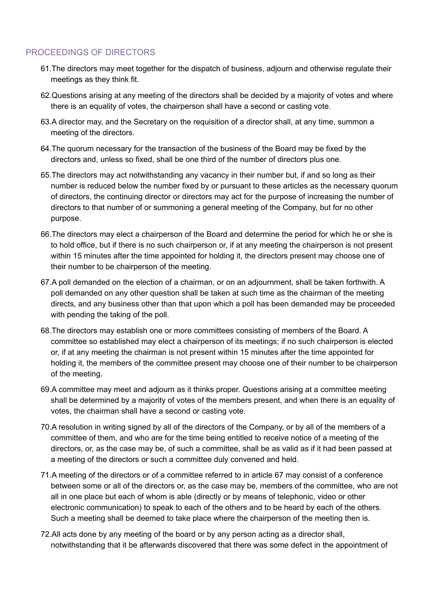## PROCEEDINGS OF DIRECTORS

- 61.The directors may meet together for the dispatch of business, adjourn and otherwise regulate their meetings as they think fit.
- 62.Questions arising at any meeting of the directors shall be decided by a majority of votes and where there is an equality of votes, the chairperson shall have a second or casting vote.
- 63.A director may, and the Secretary on the requisition of a director shall, at any time, summon a meeting of the directors.
- 64.The quorum necessary for the transaction of the business of the Board may be fixed by the directors and, unless so fixed, shall be one third of the number of directors plus one.
- 65.The directors may act notwithstanding any vacancy in their number but, if and so long as their number is reduced below the number fixed by or pursuant to these articles as the necessary quorum of directors, the continuing director or directors may act for the purpose of increasing the number of directors to that number of or summoning a general meeting of the Company, but for no other purpose.
- 66.The directors may elect a chairperson of the Board and determine the period for which he or she is to hold office, but if there is no such chairperson or, if at any meeting the chairperson is not present within 15 minutes after the time appointed for holding it, the directors present may choose one of their number to be chairperson of the meeting.
- 67.A poll demanded on the election of a chairman, or on an adjournment, shall be taken forthwith. A poll demanded on any other question shall be taken at such time as the chairman of the meeting directs, and any business other than that upon which a poll has been demanded may be proceeded with pending the taking of the poll.
- 68.The directors may establish one or more committees consisting of members of the Board. A committee so established may elect a chairperson of its meetings; if no such chairperson is elected or, if at any meeting the chairman is not present within 15 minutes after the time appointed for holding it, the members of the committee present may choose one of their number to be chairperson of the meeting.
- 69.A committee may meet and adjourn as it thinks proper. Questions arising at a committee meeting shall be determined by a majority of votes of the members present, and when there is an equality of votes, the chairman shall have a second or casting vote.
- 70.A resolution in writing signed by all of the directors of the Company, or by all of the members of a committee of them, and who are for the time being entitled to receive notice of a meeting of the directors, or, as the case may be, of such a committee, shall be as valid as if it had been passed at a meeting of the directors or such a committee duly convened and held.
- 71.A meeting of the directors or of a committee referred to in article 67 may consist of a conference between some or all of the directors or, as the case may be, members of the committee, who are not all in one place but each of whom is able (directly or by means of telephonic, video or other electronic communication) to speak to each of the others and to be heard by each of the others. Such a meeting shall be deemed to take place where the chairperson of the meeting then is.
- 72.All acts done by any meeting of the board or by any person acting as a director shall, notwithstanding that it be afterwards discovered that there was some defect in the appointment of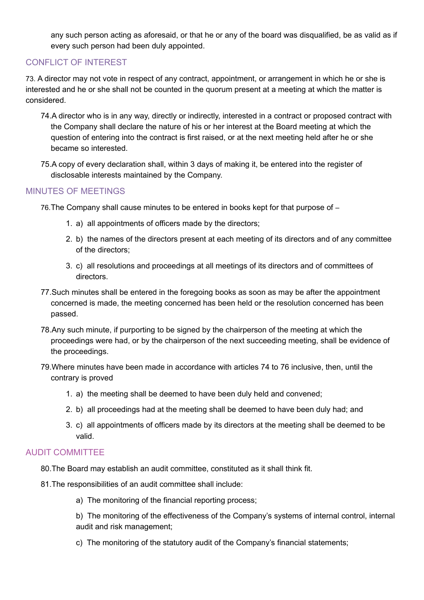any such person acting as aforesaid, or that he or any of the board was disqualified, be as valid as if every such person had been duly appointed.

# CONFLICT OF INTEREST

73. A director may not vote in respect of any contract, appointment, or arrangement in which he or she is interested and he or she shall not be counted in the quorum present at a meeting at which the matter is considered.

- 74.A director who is in any way, directly or indirectly, interested in a contract or proposed contract with the Company shall declare the nature of his or her interest at the Board meeting at which the question of entering into the contract is first raised, or at the next meeting held after he or she became so interested.
- 75.A copy of every declaration shall, within 3 days of making it, be entered into the register of disclosable interests maintained by the Company.

#### MINUTES OF MEETINGS

- 76.The Company shall cause minutes to be entered in books kept for that purpose of
	- 1. a) all appointments of officers made by the directors;
	- 2. b) the names of the directors present at each meeting of its directors and of any committee of the directors;
	- 3. c) all resolutions and proceedings at all meetings of its directors and of committees of directors.
- 77.Such minutes shall be entered in the foregoing books as soon as may be after the appointment concerned is made, the meeting concerned has been held or the resolution concerned has been passed.
- 78.Any such minute, if purporting to be signed by the chairperson of the meeting at which the proceedings were had, or by the chairperson of the next succeeding meeting, shall be evidence of the proceedings.
- 79.Where minutes have been made in accordance with articles 74 to 76 inclusive, then, until the contrary is proved
	- 1. a) the meeting shall be deemed to have been duly held and convened;
	- 2. b) all proceedings had at the meeting shall be deemed to have been duly had; and
	- 3. c) all appointments of officers made by its directors at the meeting shall be deemed to be valid.

## AUDIT COMMITTEE

80.The Board may establish an audit committee, constituted as it shall think fit.

- 81.The responsibilities of an audit committee shall include:
	- a) The monitoring of the financial reporting process;
	- b) The monitoring of the effectiveness of the Company's systems of internal control, internal audit and risk management;
	- c) The monitoring of the statutory audit of the Company's financial statements;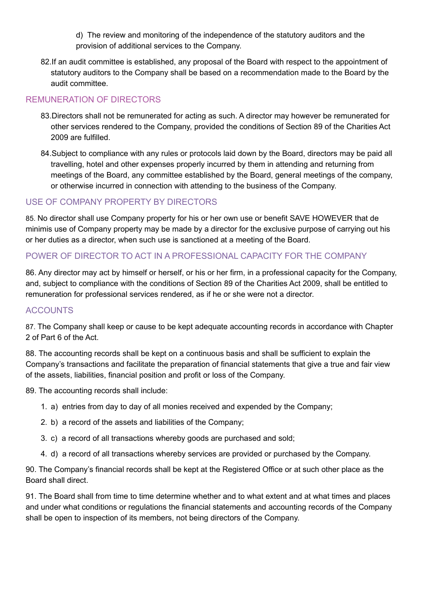- d) The review and monitoring of the independence of the statutory auditors and the provision of additional services to the Company.
- 82.If an audit committee is established, any proposal of the Board with respect to the appointment of statutory auditors to the Company shall be based on a recommendation made to the Board by the audit committee.

# REMUNERATION OF DIRECTORS

- 83.Directors shall not be remunerated for acting as such. A director may however be remunerated for other services rendered to the Company, provided the conditions of Section 89 of the Charities Act 2009 are fulfilled.
- 84.Subject to compliance with any rules or protocols laid down by the Board, directors may be paid all travelling, hotel and other expenses properly incurred by them in attending and returning from meetings of the Board, any committee established by the Board, general meetings of the company, or otherwise incurred in connection with attending to the business of the Company.

# USE OF COMPANY PROPERTY BY DIRECTORS

85. No director shall use Company property for his or her own use or benefit SAVE HOWEVER that de minimis use of Company property may be made by a director for the exclusive purpose of carrying out his or her duties as a director, when such use is sanctioned at a meeting of the Board.

# POWER OF DIRECTOR TO ACT IN A PROFESSIONAL CAPACITY FOR THE COMPANY

86. Any director may act by himself or herself, or his or her firm, in a professional capacity for the Company, and, subject to compliance with the conditions of Section 89 of the Charities Act 2009, shall be entitled to remuneration for professional services rendered, as if he or she were not a director.

# ACCOUNTS

87. The Company shall keep or cause to be kept adequate accounting records in accordance with Chapter 2 of Part 6 of the Act.

88. The accounting records shall be kept on a continuous basis and shall be sufficient to explain the Company's transactions and facilitate the preparation of financial statements that give a true and fair view of the assets, liabilities, financial position and profit or loss of the Company.

89. The accounting records shall include:

- 1. a) entries from day to day of all monies received and expended by the Company;
- 2. b) a record of the assets and liabilities of the Company;
- 3. c) a record of all transactions whereby goods are purchased and sold;
- 4. d) a record of all transactions whereby services are provided or purchased by the Company.

90. The Company's financial records shall be kept at the Registered Office or at such other place as the Board shall direct.

91. The Board shall from time to time determine whether and to what extent and at what times and places and under what conditions or regulations the financial statements and accounting records of the Company shall be open to inspection of its members, not being directors of the Company.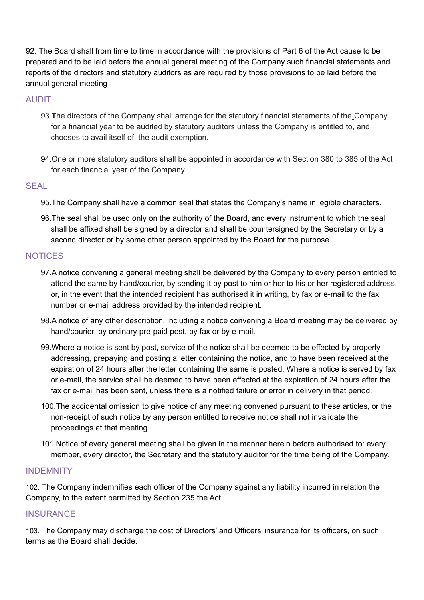92. The Board shall from time to time in accordance with the provisions of Part 6 of the Act cause to be prepared and to be laid before the annual general meeting of the Company such financial statements and reports of the directors and statutory auditors as are required by those provisions to be laid before the annual general meeting

## AUDIT

- 93.**T**he directors of the Company shall arrange for the statutory financial statements of the Company for a financial year to be audited by statutory auditors unless the Company is entitled to, and chooses to avail itself of, the audit exemption.
- 94.One or more statutory auditors shall be appointed in accordance with Section 380 to 385 of the Act for each financial year of the Company.

## **SEAL**

- 95.The Company shall have a common seal that states the Company's name in legible characters.
- 96.The seal shall be used only on the authority of the Board, and every instrument to which the seal shall be affixed shall be signed by a director and shall be countersigned by the Secretary or by a second director or by some other person appointed by the Board for the purpose.

## **NOTICES**

- 97.A notice convening a general meeting shall be delivered by the Company to every person entitled to attend the same by hand/courier, by sending it by post to him or her to his or her registered address, or, in the event that the intended recipient has authorised it in writing, by fax or e-mail to the fax number or e-mail address provided by the intended recipient.
- 98.A notice of any other description, including a notice convening a Board meeting may be delivered by hand/courier, by ordinary pre-paid post, by fax or by e-mail.
- 99.Where a notice is sent by post, service of the notice shall be deemed to be effected by properly addressing, prepaying and posting a letter containing the notice, and to have been received at the expiration of 24 hours after the letter containing the same is posted. Where a notice is served by fax or e-mail, the service shall be deemed to have been effected at the expiration of 24 hours after the fax or e-mail has been sent, unless there is a notified failure or error in delivery in that period.
- 100.The accidental omission to give notice of any meeting convened pursuant to these articles, or the non-receipt of such notice by any person entitled to receive notice shall not invalidate the proceedings at that meeting.
- 101.Notice of every general meeting shall be given in the manner herein before authorised to: every member, every director, the Secretary and the statutory auditor for the time being of the Company.

#### **INDEMNITY**

102. The Company indemnifies each officer of the Company against any liability incurred in relation the Company, to the extent permitted by Section 235 the Act.

#### **INSURANCE**

103. The Company may discharge the cost of Directors' and Officers' insurance for its officers, on such terms as the Board shall decide.